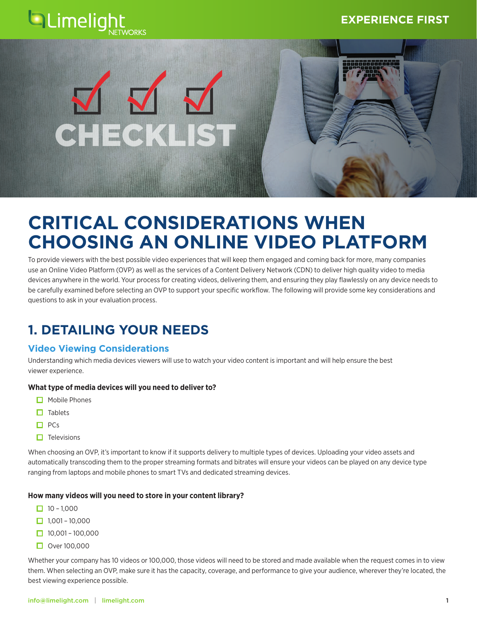



# CHECKLIST

# **CRITICAL CONSIDERATIONS WHEN CHOOSING AN ONLINE VIDEO PLATFORM**

To provide viewers with the best possible video experiences that will keep them engaged and coming back for more, many companies use an Online Video Platform (OVP) as well as the services of a Content Delivery Network (CDN) to deliver high quality video to media devices anywhere in the world. Your process for creating videos, delivering them, and ensuring they play flawlessly on any device needs to be carefully examined before selecting an OVP to support your specific workflow. The following will provide some key considerations and questions to ask in your evaluation process.

# **1. DETAILING YOUR NEEDS**

### **Video Viewing Considerations**

Understanding which media devices viewers will use to watch your video content is important and will help ensure the best viewer experience.

### **What type of media devices will you need to deliver to?**

- $\Box$  Mobile Phones
- $\Box$  Tablets
- $\Box$  PCs
- $\Box$  Televisions

When choosing an OVP, it's important to know if it supports delivery to multiple types of devices. Uploading your video assets and automatically transcoding them to the proper streaming formats and bitrates will ensure your videos can be played on any device type ranging from laptops and mobile phones to smart TVs and dedicated streaming devices.

### **How many videos will you need to store in your content library?**

- $\Box$  10 1,000
- $\Box$  1,001 10,000
- $\Box$  10,001 100,000
- $\Box$  Over 100,000

Whether your company has 10 videos or 100,000, those videos will need to be stored and made available when the request comes in to view them. When selecting an OVP, make sure it has the capacity, coverage, and performance to give your audience, wherever they're located, the best viewing experience possible.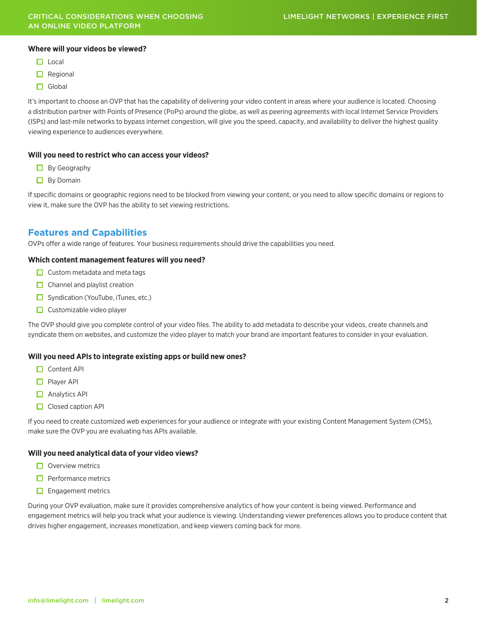### **Where will your videos be viewed?**

- $\Box$  Local
- $\Box$  Regional
- $\Box$  Global

It's important to choose an OVP that has the capability of delivering your video content in areas where your audience is located. Choosing a distribution partner with Points of Presence (PoPs) around the globe, as well as peering agreements with local Internet Service Providers (ISPs) and last-mile networks to bypass internet congestion, will give you the speed, capacity, and availability to deliver the highest quality viewing experience to audiences everywhere.

### **Will you need to restrict who can access your videos?**

- $\Box$  By Geography
- $\Box$  By Domain

If specific domains or geographic regions need to be blocked from viewing your content, or you need to allow specific domains or regions to view it, make sure the OVP has the ability to set viewing restrictions.

### **Features and Capabilities**

OVPs offer a wide range of features. Your business requirements should drive the capabilities you need.

### **Which content management features will you need?**

- $\Box$  Custom metadata and meta tags
- $\Box$  Channel and playlist creation
- $\Box$  Syndication (YouTube, iTunes, etc.)
- $\Box$  Customizable video player

The OVP should give you complete control of your video files. The ability to add metadata to describe your videos, create channels and syndicate them on websites, and customize the video player to match your brand are important features to consider in your evaluation.

### **Will you need APIs to integrate existing apps or build new ones?**

- **O** Content API
- **Player API**
- Analytics API
- $\Box$  Closed caption API

If you need to create customized web experiences for your audience or integrate with your existing Content Management System (CMS), make sure the OVP you are evaluating has APIs available.

### **Will you need analytical data of your video views?**

- $\Box$  Overview metrics
- $\Box$  Performance metrics
- $\Box$  Engagement metrics

During your OVP evaluation, make sure it provides comprehensive analytics of how your content is being viewed. Performance and engagement metrics will help you track what your audience is viewing. Understanding viewer preferences allows you to produce content that drives higher engagement, increases monetization, and keep viewers coming back for more.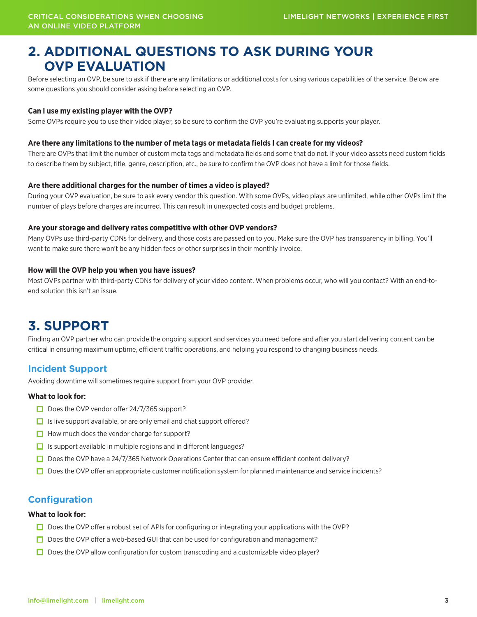# **2. ADDITIONAL QUESTIONS TO ASK DURING YOUR OVP EVALUATION**

Before selecting an OVP, be sure to ask if there are any limitations or additional costs for using various capabilities of the service. Below are some questions you should consider asking before selecting an OVP.

### **Can I use my existing player with the OVP?**

Some OVPs require you to use their video player, so be sure to confirm the OVP you're evaluating supports your player.

### **Are there any limitations to the number of meta tags or metadata fields I can create for my videos?**

There are OVPs that limit the number of custom meta tags and metadata fields and some that do not. If your video assets need custom fields to describe them by subject, title, genre, description, etc., be sure to confirm the OVP does not have a limit for those fields.

### **Are there additional charges for the number of times a video is played?**

During your OVP evaluation, be sure to ask every vendor this question. With some OVPs, video plays are unlimited, while other OVPs limit the number of plays before charges are incurred. This can result in unexpected costs and budget problems.

### **Are your storage and delivery rates competitive with other OVP vendors?**

Many OVPs use third-party CDNs for delivery, and those costs are passed on to you. Make sure the OVP has transparency in billing. You'll want to make sure there won't be any hidden fees or other surprises in their monthly invoice.

### **How will the OVP help you when you have issues?**

Most OVPs partner with third-party CDNs for delivery of your video content. When problems occur, who will you contact? With an end-toend solution this isn't an issue.

# **3. SUPPORT**

Finding an OVP partner who can provide the ongoing support and services you need before and after you start delivering content can be critical in ensuring maximum uptime, efficient traffic operations, and helping you respond to changing business needs.

### **Incident Support**

Avoiding downtime will sometimes require support from your OVP provider.

### **What to look for:**

- $\Box$  Does the OVP vendor offer 24/7/365 support?
- $\Box$  Is live support available, or are only email and chat support offered?
- $\Box$  How much does the vendor charge for support?
- $\Box$  Is support available in multiple regions and in different languages?
- $\Box$  Does the OVP have a 24/7/365 Network Operations Center that can ensure efficient content delivery?
- $\Box$  Does the OVP offer an appropriate customer notification system for planned maintenance and service incidents?

### **Configuration**

### **What to look for:**

- $\square$  Does the OVP offer a robust set of APIs for configuring or integrating your applications with the OVP?
- $\Box$  Does the OVP offer a web-based GUI that can be used for configuration and management?
- $\Box$  Does the OVP allow configuration for custom transcoding and a customizable video player?